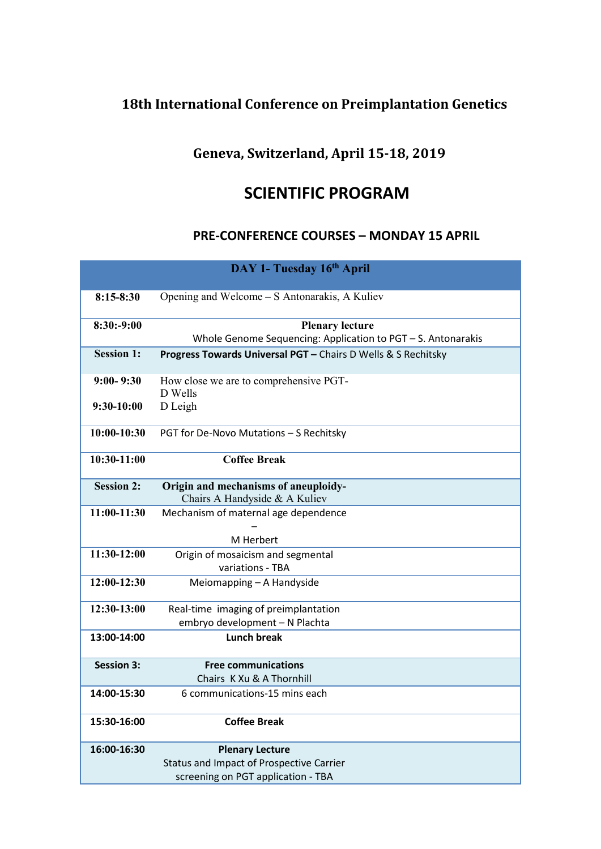## **18th International Conference on Preimplantation Genetics**

## **Geneva, Switzerland, April 15-18, 2019**

## **SCIENTIFIC PROGRAM**

## **PRE-CONFERENCE COURSES – MONDAY 15 APRIL**

| DAY 1- Tuesday 16th April |                                                                       |  |
|---------------------------|-----------------------------------------------------------------------|--|
| $8:15-8:30$               | Opening and Welcome – S Antonarakis, A Kuliev                         |  |
| $8:30:-9:00$              | <b>Plenary lecture</b>                                                |  |
|                           | Whole Genome Sequencing: Application to PGT - S. Antonarakis          |  |
| <b>Session 1:</b>         | Progress Towards Universal PGT - Chairs D Wells & S Rechitsky         |  |
| $9:00 - 9:30$             | How close we are to comprehensive PGT-<br>D Wells                     |  |
| 9:30-10:00                | D Leigh                                                               |  |
| $10:00-10:30$             | PGT for De-Novo Mutations - S Rechitsky                               |  |
| $10:30-11:00$             | <b>Coffee Break</b>                                                   |  |
| <b>Session 2:</b>         | Origin and mechanisms of aneuploidy-<br>Chairs A Handyside & A Kuliev |  |
| 11:00-11:30               | Mechanism of maternal age dependence                                  |  |
|                           |                                                                       |  |
|                           | M Herbert                                                             |  |
| 11:30-12:00               | Origin of mosaicism and segmental                                     |  |
|                           | variations - TBA                                                      |  |
| 12:00-12:30               | Meiomapping - A Handyside                                             |  |
| 12:30-13:00               | Real-time imaging of preimplantation                                  |  |
|                           | embryo development - N Plachta                                        |  |
| 13:00-14:00               | <b>Lunch break</b>                                                    |  |
| <b>Session 3:</b>         | <b>Free communications</b>                                            |  |
|                           | Chairs K Xu & A Thornhill                                             |  |
| 14:00-15:30               | 6 communications-15 mins each                                         |  |
| 15:30-16:00               | <b>Coffee Break</b>                                                   |  |
| 16:00-16:30               | <b>Plenary Lecture</b>                                                |  |
|                           | Status and Impact of Prospective Carrier                              |  |
|                           | screening on PGT application - TBA                                    |  |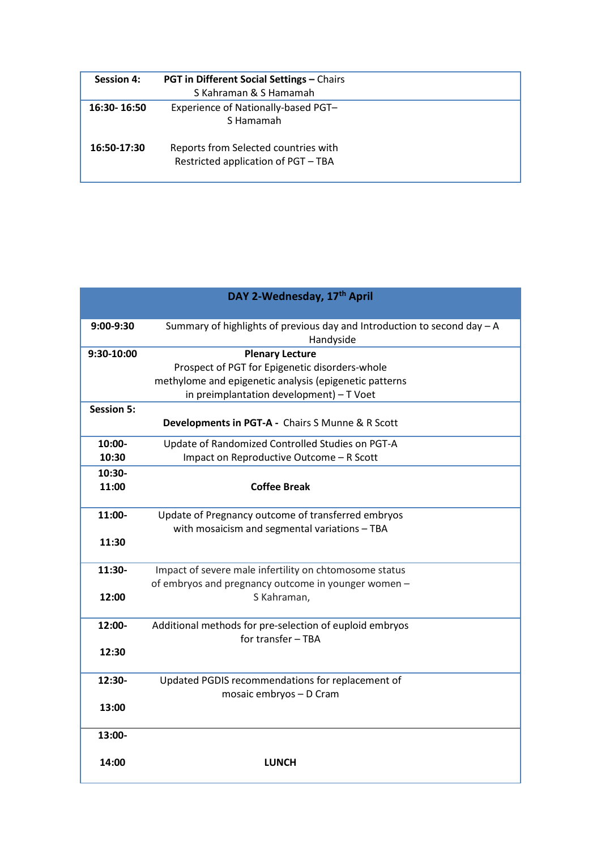| <b>Session 4:</b> | <b>PGT in Different Social Settings - Chairs</b>                            |
|-------------------|-----------------------------------------------------------------------------|
|                   | S Kahraman & S Hamamah                                                      |
| 16:30-16:50       | Experience of Nationally-based PGT-<br>S Hamamah                            |
| 16:50-17:30       | Reports from Selected countries with<br>Restricted application of PGT - TBA |

| DAY 2-Wednesday, 17th April |                                                                                         |  |
|-----------------------------|-----------------------------------------------------------------------------------------|--|
|                             |                                                                                         |  |
| 9:00-9:30                   | Summary of highlights of previous day and Introduction to second day $- A$<br>Handyside |  |
| 9:30-10:00                  | <b>Plenary Lecture</b>                                                                  |  |
|                             | Prospect of PGT for Epigenetic disorders-whole                                          |  |
|                             | methylome and epigenetic analysis (epigenetic patterns                                  |  |
|                             | in preimplantation development) - T Voet                                                |  |
| <b>Session 5:</b>           |                                                                                         |  |
|                             | Developments in PGT-A - Chairs S Munne & R Scott                                        |  |
| 10:00-                      | Update of Randomized Controlled Studies on PGT-A                                        |  |
| 10:30                       | Impact on Reproductive Outcome - R Scott                                                |  |
| $10:30-$                    |                                                                                         |  |
| 11:00                       | <b>Coffee Break</b>                                                                     |  |
|                             |                                                                                         |  |
| 11:00-                      | Update of Pregnancy outcome of transferred embryos                                      |  |
|                             | with mosaicism and segmental variations - TBA                                           |  |
| 11:30                       |                                                                                         |  |
| 11:30-                      | Impact of severe male infertility on chtomosome status                                  |  |
|                             | of embryos and pregnancy outcome in younger women -                                     |  |
| 12:00                       | S Kahraman,                                                                             |  |
| 12:00-                      | Additional methods for pre-selection of euploid embryos                                 |  |
|                             | for transfer - TBA                                                                      |  |
| 12:30                       |                                                                                         |  |
|                             |                                                                                         |  |
| 12:30-                      | Updated PGDIS recommendations for replacement of                                        |  |
|                             | mosaic embryos - D Cram                                                                 |  |
| 13:00                       |                                                                                         |  |
| 13:00-                      |                                                                                         |  |
| 14:00                       | <b>LUNCH</b>                                                                            |  |
|                             |                                                                                         |  |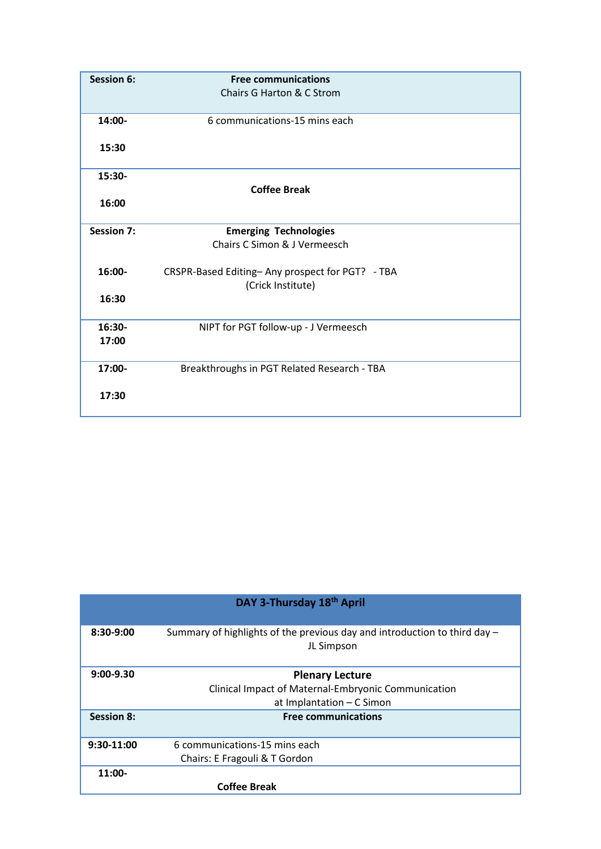| <b>Session 6:</b> | <b>Free communications</b>                      |
|-------------------|-------------------------------------------------|
|                   | Chairs G Harton & C Strom                       |
|                   |                                                 |
| 14:00-            | 6 communications-15 mins each                   |
|                   |                                                 |
| 15:30             |                                                 |
| 15:30-            |                                                 |
|                   | <b>Coffee Break</b>                             |
| 16:00             |                                                 |
|                   |                                                 |
| <b>Session 7:</b> | <b>Emerging Technologies</b>                    |
|                   | Chairs C Simon & J Vermeesch                    |
|                   |                                                 |
| 16:00-            | CRSPR-Based Editing-Any prospect for PGT? - TBA |
| 16:30             | (Crick Institute)                               |
|                   |                                                 |
| 16:30-            | NIPT for PGT follow-up - J Vermeesch            |
| 17:00             |                                                 |
|                   |                                                 |
| 17:00-            | Breakthroughs in PGT Related Research - TBA     |
|                   |                                                 |
| 17:30             |                                                 |
|                   |                                                 |

| DAY 3-Thursday 18th April |                                                                             |
|---------------------------|-----------------------------------------------------------------------------|
| 8:30-9:00                 | Summary of highlights of the previous day and introduction to third day $-$ |
|                           | JL Simpson                                                                  |
| $9:00-9.30$               | <b>Plenary Lecture</b>                                                      |
|                           | Clinical Impact of Maternal-Embryonic Communication                         |
|                           | at Implantation - C Simon                                                   |
| <b>Session 8:</b>         | <b>Free communications</b>                                                  |
|                           |                                                                             |
| $9:30-11:00$              | 6 communications-15 mins each                                               |
|                           | Chairs: E Fragouli & T Gordon                                               |
| $11:00-$                  |                                                                             |
|                           | <b>Coffee Break</b>                                                         |